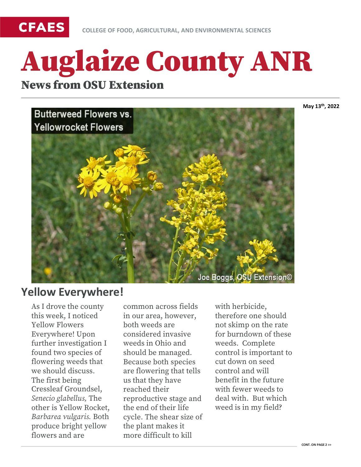

# Auglaize County ANR News from OSU Extension

**May 13th, 2022**



#### **Yellow Everywhere!**

As I drove the county this week, I noticed Yellow Flowers Everywhere! Upon further investigation I found two species of flowering weeds that we should discuss. The first being Cressleaf Groundsel, *Senecio glabellus,* The other is Yellow Rocket, *Barbarea vulgaris.* Both produce bright yellow flowers and are

common across fields in our area, however, both weeds are considered invasive weeds in Ohio and should be managed. Because both species are flowering that tells us that they have reached their reproductive stage and the end of their life cycle. The shear size of the plant makes it more difficult to kill

with herbicide, therefore one should not skimp on the rate for burndown of these weeds. Complete control is important to cut down on seed control and will benefit in the future with fewer weeds to deal with. But which weed is in my field?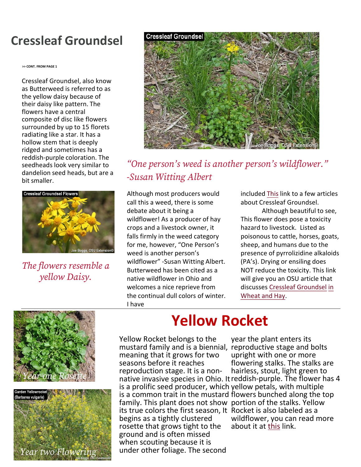### **Cressleaf Groundsel**

**>> CONT. FROM PAGE 1**

Cressleaf Groundsel, also know as Butterweed is referred to as the yellow daisy because of their daisy like pattern. The flowers have a central composite of disc like flowers surrounded by up to 15 florets radiating like a star. It has a hollow stem that is deeply ridged and sometimes has a reddish-purple coloration. The seedheads look very similar to dandelion seed heads, but are a bit smaller.



*The flowers resemble a yellow Daisy.* 



*"One person's weed is another person's wildflower." -Susan Witting Albert*

Although most producers would call this a weed, there is some debate about it being a wildflower! As a producer of hay crops and a livestock owner, it falls firmly in the weed category for me, however, "One Person's weed is another person's wildflower" -Susan Witting Albert. Butterweed has been cited as a native wildflower in Ohio and welcomes a nice reprieve from the continual dull colors of winter. I have

included [This](https://bygl.osu.edu/search/node?keys=cressleaf+groundsel) link to a few articles about Cressleaf Groundsel.

Although beautiful to see, This flower does pose a toxicity hazard to livestock. Listed as poisonous to cattle, horses, goats, sheep, and humans due to the presence of pyrrolizidine alkaloids (PA's). Drying or ensiling does NOT reduce the toxicity. This link will give you an OSU article that discusses [Cressleaf Groundsel in](https://agcrops.osu.edu/newsletter/corn-newsletter/cressleaf-groundsel-wheat-and-hay#:%7E:text=Cressleaf%20groundsel%20is%20poisonous%20to,liver%20damage%2C%20and%20possibly%20death.)  Wheat and Hay.





## **Yellow Rocket**

Yellow Rocket belongs to the mustard family and is a biennial, reproductive stage and bolts meaning that it grows for two seasons before it reaches is a prolific seed producer, which yellow petals, with multiple is a common trait in the mustard flowers bunched along the top family. This plant does not show portion of the stalks. Yellow its true colors the first season, It Rocket is also labeled as a begins as a tightly clustered rosette that grows tight to the ground and is often missed when scouting because it is under other foliage. The second

reproduction stage. It is a non- hairless, stout, light green to<br>native invasive species in Ohio. It reddish-purple. The flower has 4 year the plant enters its upright with one or more flowering stalks. The stalks are hairless, stout, light green to wildflower, you can read more about it at [this](https://www.friendsofthewildflowergarden.org/pages/plants/yellowrocket.html) link.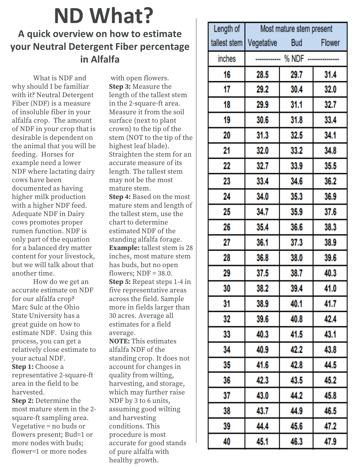# **ND What?**

#### **A quick overview on how to estimate your Neutral Detergent Fiber percentage in Alfalfa**

What is NDF and why should I be familiar with it? Neutral Detergent Fiber (NDF) is a measure of insoluble fiber in your alfalfa crop. The amount of NDF in your crop that is desirable is dependent on the animal that you will be feeding. Horses for example need a lower NDF where lactating dairy cows have been documented as having higher milk production with a higher NDF feed. Adequate NDF in Dairy cows promotes proper rumen function. NDF is only part of the equation for a balanced dry matter content for your livestock, but we will talk about that another time.

How do we get an accurate estimate on NDF for our alfalfa crop? Marc Sulc at the Ohio State University has a great guide on how to estimate NDF. Using this process, you can get a relatively close estimate to your actual NDF. **Step 1:** Choose a representative 2-square-ft area in the field to be harvested.

**Step 2:** Determine the most mature stem in the 2 square-ft sampling area. Vegetative = no buds or flowers present; Bud=1 or more nodes with buds; flower=1 or more nodes

with open flowers. **Step 3:** Measure the length of the tallest stem in the 2-square-ft area. Measure it from the soil surface (next to plant crown) to the tip of the stem (NOT to the tip of the highest leaf blade). Straighten the stem for an accurate measure of its length. The tallest stem may not be the most mature stem. **Step 4:** Based on the most

mature stem and length of the tallest stem, use the chart to determine estimated NDF of the standing alfalfa forage. **Example:** tallest stem is 28 inches, most mature stem has buds, but no open flowers;  $NDF = 38.0$ . **Step 5:** Repeat steps 1-4 in five representative areas across the field. Sample more in fields larger than 30 acres. Average all estimates for a field average.

**NOTE:** This estimates alfalfa NDF of the standing crop. It does not account for changes in quality from wilting, harvesting, and storage, which may further raise NDF by 3 to 6 units, assuming good wilting and harvesting conditions. This procedure is most accurate for good stands of pure alfalfa with healthy growth.

| Length of    | Most mature stem present |      |        |
|--------------|--------------------------|------|--------|
| tallest stem | Vegetative Bud           |      | Flower |
| inches       | ----------- % NDF --     |      |        |
| 16           | 28.5                     | 29.7 | 31.4   |
| 17           | 29.2                     | 30.4 | 32.0   |
| 18           | 29.9                     | 31.1 | 32.7   |
| 19           | 30.6                     | 31.8 | 33.4   |
| 20           | 31.3                     | 32.5 | 34.1   |
| 21           | 32.0                     | 33.2 | 34.8   |
| 22           | 32.7                     | 33.9 | 35.5   |
| 23           | 33.4                     | 34.6 | 36.2   |
| 24           | 34.0                     | 35.3 | 36.9   |
| 25           | 34.7                     | 35.9 | 37.6   |
| 26           | 35.4                     | 36.6 | 38.3   |
| 27           | 36.1                     | 37.3 | 38.9   |
| 28           | 36.8                     | 38.0 | 39.6   |
| 29           | 37.5                     | 38.7 | 40.3   |
| 30           | 38.2                     | 39.4 | 41.0   |
| 31           | 38.9                     | 40.1 | 41.7   |
| 32           | 39.6                     | 40.8 | 42.4   |
| 33           | 40.3                     | 41.5 | 43.1   |
| 34           | 40.9                     | 42.2 | 43.8   |
| 35           | 41.6                     | 42.8 | 44.5   |
| 36           | 42.3                     | 43.5 | 45.2   |
| 37           | 43.0                     | 44.2 | 45.8   |
| 38           | 43.7                     | 44.9 | 46.5   |
| 39           | 44.4                     | 45.6 | 47.2   |
| 40           | 45.1                     | 46.3 | 47.9   |